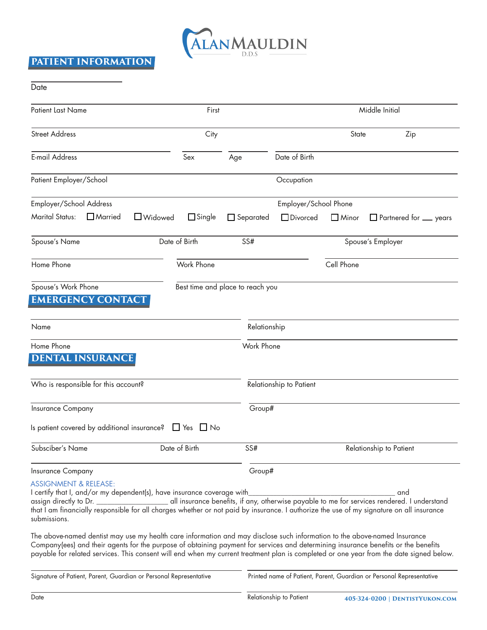

# **PATIENT INFORMATION**

| Date                                                                                                                                                                                                                                                                                                                                                                                                       |               |                                  |                         |              |                                                                                                    |
|------------------------------------------------------------------------------------------------------------------------------------------------------------------------------------------------------------------------------------------------------------------------------------------------------------------------------------------------------------------------------------------------------------|---------------|----------------------------------|-------------------------|--------------|----------------------------------------------------------------------------------------------------|
| <b>Patient Last Name</b>                                                                                                                                                                                                                                                                                                                                                                                   | First         |                                  |                         |              | Middle Initial                                                                                     |
| <b>Street Address</b>                                                                                                                                                                                                                                                                                                                                                                                      | City          |                                  |                         | State        | Zip                                                                                                |
| <b>E-mail Address</b>                                                                                                                                                                                                                                                                                                                                                                                      | Sex           | Age                              | Date of Birth           |              |                                                                                                    |
| Patient Employer/School                                                                                                                                                                                                                                                                                                                                                                                    |               |                                  | Occupation              |              |                                                                                                    |
| Employer/School Address                                                                                                                                                                                                                                                                                                                                                                                    |               |                                  | Employer/School Phone   |              |                                                                                                    |
| <b>Marital Status:</b><br>$\Box$ Married<br>$\Box$ Widowed                                                                                                                                                                                                                                                                                                                                                 | $\Box$ Single | $\Box$ Separated                 | □ Divorced              | $\Box$ Minor | $\Box$ Partnered for $\Box$ years                                                                  |
| Spouse's Name                                                                                                                                                                                                                                                                                                                                                                                              | Date of Birth | SS#                              |                         |              | Spouse's Employer                                                                                  |
| Home Phone                                                                                                                                                                                                                                                                                                                                                                                                 | Work Phone    |                                  |                         | Cell Phone   |                                                                                                    |
| Spouse's Work Phone<br><b>EMERGENCY CONTACT</b>                                                                                                                                                                                                                                                                                                                                                            |               | Best time and place to reach you |                         |              |                                                                                                    |
| Name                                                                                                                                                                                                                                                                                                                                                                                                       |               | Relationship                     |                         |              |                                                                                                    |
| Home Phone<br><b>DENTAL INSURANCE</b>                                                                                                                                                                                                                                                                                                                                                                      |               | Work Phone                       |                         |              |                                                                                                    |
| Who is responsible for this account?                                                                                                                                                                                                                                                                                                                                                                       |               |                                  | Relationship to Patient |              |                                                                                                    |
| Insurance Company                                                                                                                                                                                                                                                                                                                                                                                          |               | Group#                           |                         |              |                                                                                                    |
| Is patient covered by additional insurance? $\Box$ Yes $\Box$ No                                                                                                                                                                                                                                                                                                                                           |               |                                  |                         |              |                                                                                                    |
| Subsciber's Name                                                                                                                                                                                                                                                                                                                                                                                           | Date of Birth | SS#                              |                         |              | Relationship to Patient                                                                            |
| Insurance Company                                                                                                                                                                                                                                                                                                                                                                                          |               | Group#                           |                         |              |                                                                                                    |
| <b>ASSIGNMENT &amp; RELEASE:</b><br>I certify that I, and/or my dependent(s), have insurance coverage with<br>assign directly to Dr.<br>that I am financially responsible for all charges whether or not paid by insurance. I authorize the use of my signature on all insurance<br>submissions.                                                                                                           |               |                                  |                         |              | and<br>all insurance benefits, if any, otherwise payable to me for services rendered. I understand |
| The above-named dentist may use my health care information and may disclose such information to the above-named Insurance<br>Company(ees) and their agents for the purpose of obtaining payment for services and determining insurance benefits or the benefits<br>payable for related services. This consent will end when my current treatment plan is completed or one year from the date signed below. |               |                                  |                         |              |                                                                                                    |
| Signature of Patient, Parent, Guardian or Personal Representative                                                                                                                                                                                                                                                                                                                                          |               |                                  |                         |              | Printed name of Patient, Parent, Guardian or Personal Representative                               |
| Date                                                                                                                                                                                                                                                                                                                                                                                                       |               |                                  | Relationship to Patient |              | 405-324-0200   DENTISTYUKON.COM                                                                    |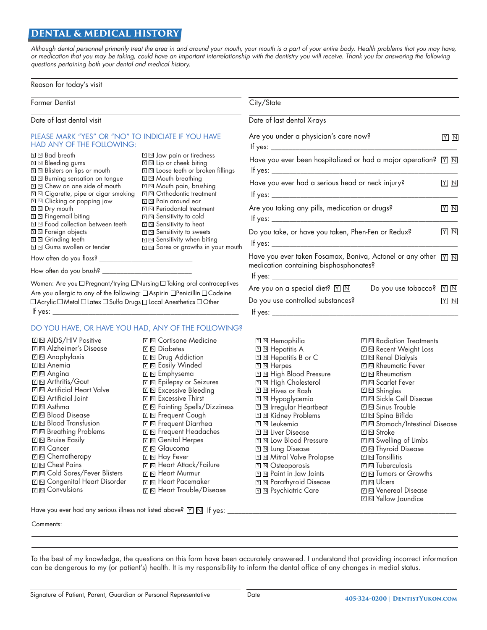## **DENTAL & MEDICAL HISTORY**

*Although dental personnel primarily treat the area in and around your mouth, your mouth is a part of your entire body. Health problems that you may have, or medication that you may be taking, could have an important interrelationship with the dentistry you will receive. Thank you for answering the following questions pertaining both your dental and medical history.*

#### Reason for today's visit

Former Dentist City/State

Date of last dental visit

#### PLEASE MARK "YES" OR "NO" TO INDICIATE IF YOU HAVE HAD ANY OF THE FOLLOWING:

| <b>Ⅲ Bad breath</b>                                               | $\mathbb{Z} \boxtimes$ Jaw pain or tiredness    |
|-------------------------------------------------------------------|-------------------------------------------------|
| X M Bleeding gums                                                 | $\mathbb{Z} \boxtimes$ Lip or cheek biting      |
| XI M Blisters on lips or mouth                                    | X <sup>III</sup> Loose teeth or broken fillings |
| <b>M</b> Burning sensation on tongue                              | $\mathbb{Z} \boxtimes M$ outh breathing         |
| 図 図 Chew on one side of mouth                                     | Ⅵ Mouth pain, brushing                          |
| $\mathbb{Z} \boxtimes \mathbb{C}$ igarette, pipe or cigar smoking | X <sup>I</sup> © Orthodontic treatment          |
| XI M Clicking or popping jaw                                      | ⊠ N Pain around ear                             |
| <b>□□ Dry mouth</b>                                               | $\boxtimes$ $\boxtimes$ Periodontal treatment   |
| <b>M</b> Fingernail biting                                        | $\Sigma \boxtimes$ Sensitivity to cold          |
| <b>M</b> Food collection between teeth                            | $\mathbb{Z} \boxtimes$ Sensitivity to heat      |
| $\mathbb{Z}$ $\mathbb{N}$ Foreign objects                         | <b>M N</b> Sensitivity to sweets                |
| <b>Ⅲ M</b> Grinding teeth                                         | $\boxtimes$ $\boxtimes$ Sensitivity when biting |
| <b>M</b> © Gums swollen or tender                                 | ⊠ Sores or growths in your mouth                |
| How often do you floss?                                           |                                                 |
|                                                                   |                                                 |

How often do you brush? \_

Women: Are you  $\Box$  Pregnant/trying  $\Box$  Nursing  $\Box$  Taking oral contraceptives

Are you allergic to any of the following:  $\Box$  Aspirin  $\Box$  Penicillin  $\Box$  Codeine  $\Box$  Acrylic  $\Box$  Metal  $\Box$  Latex  $\Box$  Sulfa Drugs  $\Box$  Local Anesthetics  $\Box$  Other If yes:  $\overline{a}$ 

### DO YOU HAVE, OR HAVE YOU HAD, ANY OF THE FOLLOWING?

| <b>M NIDS/HIV</b> Positive                  | ⊠ © Cortisone Medicine                   | Γ |
|---------------------------------------------|------------------------------------------|---|
| <b>El <sup>El</sup></b> Alzheimer's Disease | $\mathbb{Z} \mathbb{N}$ Diabetes         |   |
| <b>El III</b> Anaphylaxis                   | <b>M N</b> Drug Addiction                |   |
| <b>⊡</b> I Anemia                           | <b>M</b> Easily Winded                   |   |
| <b>⊡</b> III Angina                         | <b>M Emphysema</b>                       |   |
| <b>☑ 回 Arthritis/Gout</b>                   | <b>M N</b> Epilepsy or Seizures          |   |
| <b>M N</b> Artificial Heart Valve           | <b>Excessive Bleeding</b>                |   |
| <b>□ 回 Artificial Joint</b>                 | $\boxtimes$ $\boxtimes$ Excessive Thirst |   |
| M Asthma                                    | ⊠⊠ Fainting Spells/Dizziness             |   |
| <b>Ⅲ Blood Disease</b>                      | <b>M</b> In Frequent Cough               |   |
| $\mathbb{Z}$ $\mathbb{N}$ Blood Transfusion | <b>ME</b> Frequent Diarrhea              |   |
| <b>M</b> Breathing Problems                 | <b>M</b> In Frequent Headaches           |   |
| <b>M</b> Bruise Easily                      | <b>M N</b> Genital Herpes                |   |
| <b>M</b> Cancer                             | <b>☑ ₪ Glaucoma</b>                      |   |
| <b>M</b> Chemotherapy                       |                                          |   |
| <b>M</b> M Chest Pains                      | M ₪ Heart Attack/Failure                 | Γ |
| <b>M</b> ©old Sores/Fever Blisters          | M M Heart Murmur                         |   |
| <b>M</b> © Congenital Heart Disorder        | M ⊠ Heart Pacemaker                      | Ν |
| <b>M</b> Convulsions                        |                                          | Γ |
|                                             |                                          |   |

| Date of last dental X-rays                                                                                                             |      |  |  |
|----------------------------------------------------------------------------------------------------------------------------------------|------|--|--|
| Are you under a physician's care now?<br>If yes: $\frac{1}{2}$ yes: $\frac{1}{2}$                                                      |      |  |  |
| Have you ever been hospitalized or had a major operation? $\boxed{\triangledown}$ $\boxed{\mathbb{N}}$                                 |      |  |  |
| Have you ever had a serious head or neck injury?                                                                                       |      |  |  |
| Are you taking any pills, medication or drugs?<br>If yes: $\frac{1}{2}$                                                                | YI N |  |  |
| Do you take, or have you taken, Phen-Fen or Redux?<br>If yes: $\frac{1}{2}$ yes: $\frac{1}{2}$                                         |      |  |  |
| Have you ever taken Fosamax, Boniva, Actonel or any other $\sqrt{m}$ $\overline{\text{N}}$<br>medication containing bisphosphonates?   |      |  |  |
| Are you on a special diet? $\boxtimes$ $\boxtimes$<br>Do you use tobacco? $\mathbb{Y} \mathbb{N}$<br>Do you use controlled substances? | YN   |  |  |

| Ⅵ ⊠ Hemophilia                                          | $\boxtimes$ $\boxtimes$ Radiation Treatments         |
|---------------------------------------------------------|------------------------------------------------------|
| Ⅵ ⊠ Hepatitis A                                         | $\mathbb{Z} \boxtimes \mathbb{R}$ Recent Weight Loss |
| <b>Z</b> ⊠ Hepatitis B or C                             | <b>M N</b> Renal Dialysis                            |
| <b>Σl ⊠ Herpes</b>                                      | $\boxtimes$ $\boxtimes$ Rheumatic Fever              |
| 꾀⊠ High Blood Pressure                                  | $\boxtimes$ $\boxtimes$ Rheumatism                   |
| ת High Cholesterol                                      | <b>☑ ℕ Scarlet Fever</b>                             |
| ת Hives or Rash                                         | <b>El <sup>El</sup></b> Shingles                     |
| 꾀 El Hypoglycemia                                       | <b>M N</b> Sickle Cell Disease                       |
| ิ ⊠ Irregular Heartbeat                                 | $\boxtimes \boxtimes$ Sinus Trouble                  |
| <sub>지 I</sub> Kidney Problems                          | Ⅵ ⊠ Spina Bifida                                     |
| $\textcolor{orange}{{\mathbb{Y}}}$ $\boxtimes$ Leukemia | <b>M N</b> Stomach/Intestinal Disease                |
| ∑ ⊠ Liver Disease                                       | $\square \boxtimes$ Stroke                           |
| 꾀 ⊠ Low Blood Pressure                                  | 図 Swelling of Limbs                                  |
| א ⊠ Lung Disease                                        | <b>Ⅲ In</b> Thyroid Disease                          |
| <b>Mitral Valve Prolapse</b>                            | $\boxtimes$ $\boxtimes$ Tonsillitis                  |
| VE Osteoporosis                                         | $\mathbb{Z} \boxtimes \mathbb{I}$ Tuberculosis       |
| M © Paint in Jaw Joints                                 | $\mathbb{T} \mathbb{N}$ Tumors or Growths            |
| ल Parathyroid Disease                                   | $\mathbb{Z} \boxtimes \mathbb{U}$ cers               |
| <b>∏ ©</b> Psychiatric Care                             | <b>Ⅲ N</b> Venereal Disease                          |
|                                                         | <b>M</b> N Yellow Jaundice                           |

Have you ever had any serious illness not listed above?  $\boxed{\Upsilon}$   $\boxed{\text{N}}$  If yes: \_

Comments:

To the best of my knowledge, the questions on this form have been accurately answered. I understand that providing incorrect information can be dangerous to my (or patient's) health. It is my responsibility to inform the dental office of any changes in medial status.